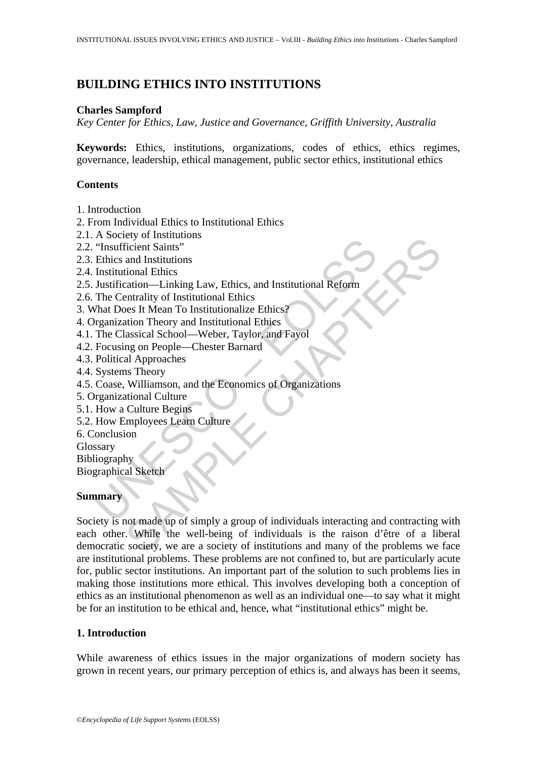# **BUILDING ETHICS INTO INSTITUTIONS**

### **Charles Sampford**

*Key Center for Ethics, Law, Justice and Governance, Griffith University, Australia* 

**Keywords:** Ethics, institutions, organizations, codes of ethics, ethics regimes, governance, leadership, ethical management, public sector ethics, institutional ethics

### **Contents**

- 1. Introduction
- 2. From Individual Ethics to Institutional Ethics
- 2.1. A Society of Institutions
- 2.2. "Insufficient Saints"
- 2.3. Ethics and Institutions
- 2.4. Institutional Ethics
- The control Saints"<br>
"Insufficient Saints"<br>
Ethics and Institutional Ethics<br>
Institutional Ethics<br>
Institutional Ethics<br>
The Centrality of Institutional Ethics<br>
That Does It Mean To Institutional Ethics<br>
The Classical Scho 2.5. Justification—Linking Law, Ethics, and Institutional Reform
- 2.6. The Centrality of Institutional Ethics
- 3. What Does It Mean To Institutionalize Ethics?
- 4. Organization Theory and Institutional Ethics
- 4.1. The Classical School—Weber, Taylor, and Fayol
- 4.2. Focusing on People—Chester Barnard
- 4.3. Political Approaches
- 4.4. Systems Theory
- 4.5. Coase, Williamson, and the Economics of Organizations
- 5. Organizational Culture
- 5.1. How a Culture Begins
- 5.2. How Employees Learn Culture
- 6. Conclusion
- Glossary
- Bibliography
- Biographical Sketch

### **Summary**

Constructions<br>
Charles Charles (Figure 1 States)<br>
and Institutions<br>
and Institutions<br>
and Institutional Ethics<br>
characteristic method. Explore the set of the<br>
entrainity of Institutional Ethics<br>
and Theory and Institutiona Society is not made up of simply a group of individuals interacting and contracting with each other. While the well-being of individuals is the raison d'être of a liberal democratic society, we are a society of institutions and many of the problems we face are institutional problems. These problems are not confined to, but are particularly acute for, public sector institutions. An important part of the solution to such problems lies in making those institutions more ethical. This involves developing both a conception of ethics as an institutional phenomenon as well as an individual one—to say what it might be for an institution to be ethical and, hence, what "institutional ethics" might be.

### **1. Introduction**

While awareness of ethics issues in the major organizations of modern society has grown in recent years, our primary perception of ethics is, and always has been it seems,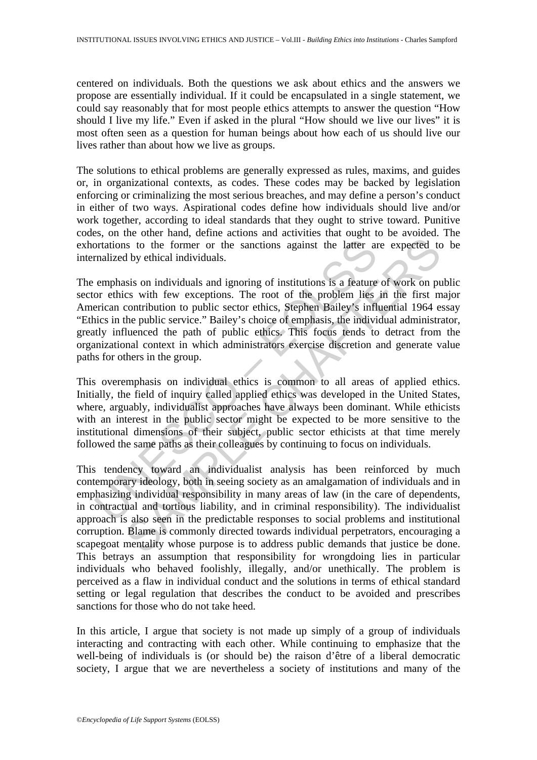centered on individuals. Both the questions we ask about ethics and the answers we propose are essentially individual. If it could be encapsulated in a single statement, we could say reasonably that for most people ethics attempts to answer the question "How should I live my life." Even if asked in the plural "How should we live our lives" it is most often seen as a question for human beings about how each of us should live our lives rather than about how we live as groups.

The solutions to ethical problems are generally expressed as rules, maxims, and guides or, in organizational contexts, as codes. These codes may be backed by legislation enforcing or criminalizing the most serious breaches, and may define a person's conduct in either of two ways. Aspirational codes define how individuals should live and/or work together, according to ideal standards that they ought to strive toward. Punitive codes, on the other hand, define actions and activities that ought to be avoided. The exhortations to the former or the sanctions against the latter are expected to be internalized by ethical individuals.

ortations to the former or the sanctions against the latter and<br>integralized by ethical individuals.<br>
emphasis on individuals and ignoring of institutions is a feature<br>
or ethics with few exceptions. The root of the proble The emphasis on individuals and ignoring of institutions is a feature of work on public sector ethics with few exceptions. The root of the problem lies in the first major American contribution to public sector ethics, Stephen Bailey's influential 1964 essay "Ethics in the public service." Bailey's choice of emphasis, the individual administrator, greatly influenced the path of public ethics. This focus tends to detract from the organizational context in which administrators exercise discretion and generate value paths for others in the group.

This overemphasis on individual ethics is common to all areas of applied ethics. Initially, the field of inquiry called applied ethics was developed in the United States, where, arguably, individualist approaches have always been dominant. While ethicists with an interest in the public sector might be expected to be more sensitive to the institutional dimensions of their subject, public sector ethicists at that time merely followed the same paths as their colleagues by continuing to focus on individuals.

is to the former or the sanctions against the latter are expected to by ethical individuals.<br>
sis on individuals and ignoring of institutions is a feature of work on puss with few exceptions. The root of the problem lies i This tendency toward an individualist analysis has been reinforced by much contemporary ideology, both in seeing society as an amalgamation of individuals and in emphasizing individual responsibility in many areas of law (in the care of dependents, in contractual and tortious liability, and in criminal responsibility). The individualist approach is also seen in the predictable responses to social problems and institutional corruption. Blame is commonly directed towards individual perpetrators, encouraging a scapegoat mentality whose purpose is to address public demands that justice be done. This betrays an assumption that responsibility for wrongdoing lies in particular individuals who behaved foolishly, illegally, and/or unethically. The problem is perceived as a flaw in individual conduct and the solutions in terms of ethical standard setting or legal regulation that describes the conduct to be avoided and prescribes sanctions for those who do not take heed.

In this article, I argue that society is not made up simply of a group of individuals interacting and contracting with each other. While continuing to emphasize that the well-being of individuals is (or should be) the raison d'être of a liberal democratic society, I argue that we are nevertheless a society of institutions and many of the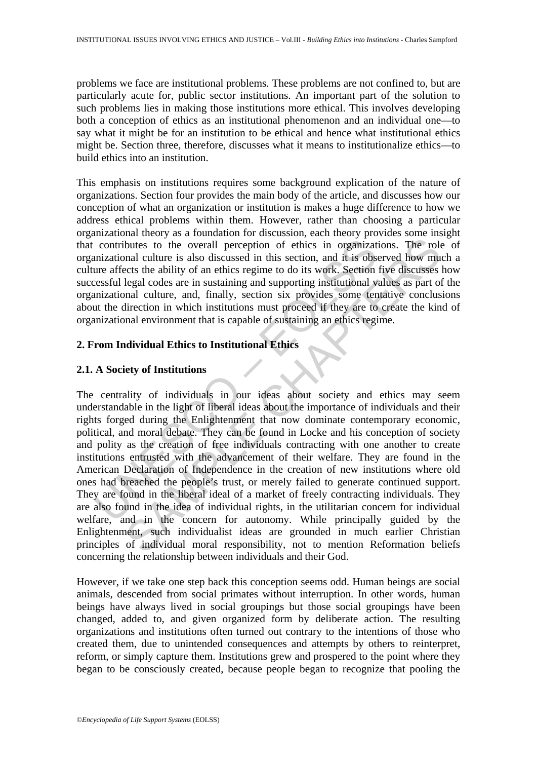problems we face are institutional problems. These problems are not confined to, but are particularly acute for, public sector institutions. An important part of the solution to such problems lies in making those institutions more ethical. This involves developing both a conception of ethics as an institutional phenomenon and an individual one—to say what it might be for an institution to be ethical and hence what institutional ethics might be. Section three, therefore, discusses what it means to institutionalize ethics—to build ethics into an institution.

This emphasis on institutions requires some background explication of the nature of organizations. Section four provides the main body of the article, and discusses how our conception of what an organization or institution is makes a huge difference to how we address ethical problems within them. However, rather than choosing a particular organizational theory as a foundation for discussion, each theory provides some insight that contributes to the overall perception of ethics in organizations. The role of organizational culture is also discussed in this section, and it is observed how much a culture affects the ability of an ethics regime to do its work. Section five discusses how successful legal codes are in sustaining and supporting institutional values as part of the organizational culture, and, finally, section six provides some tentative conclusions about the direction in which institutions must proceed if they are to create the kind of organizational environment that is capable of sustaining an ethics regime.

# **2. From Individual Ethics to Institutional Ethics**

### **2.1. A Society of Institutions**

contributes to the overall perception of ethics in organizational culture is also discussed in this section, and it is observe affects the ability of an ethics regime to do its work. Section essful legal codes are in susta butes to the overall perception of ethics in organizations. The rolonal culture is also discussed in this section, and it is observed how muctive the ability of an ethics regime to do tis work. Section five discusses the a The centrality of individuals in our ideas about society and ethics may seem understandable in the light of liberal ideas about the importance of individuals and their rights forged during the Enlightenment that now dominate contemporary economic, political, and moral debate. They can be found in Locke and his conception of society and polity as the creation of free individuals contracting with one another to create institutions entrusted with the advancement of their welfare. They are found in the American Declaration of Independence in the creation of new institutions where old ones had breached the people's trust, or merely failed to generate continued support. They are found in the liberal ideal of a market of freely contracting individuals. They are also found in the idea of individual rights, in the utilitarian concern for individual welfare, and in the concern for autonomy. While principally guided by the Enlightenment, such individualist ideas are grounded in much earlier Christian principles of individual moral responsibility, not to mention Reformation beliefs concerning the relationship between individuals and their God.

However, if we take one step back this conception seems odd. Human beings are social animals, descended from social primates without interruption. In other words, human beings have always lived in social groupings but those social groupings have been changed, added to, and given organized form by deliberate action. The resulting organizations and institutions often turned out contrary to the intentions of those who created them, due to unintended consequences and attempts by others to reinterpret, reform, or simply capture them. Institutions grew and prospered to the point where they began to be consciously created, because people began to recognize that pooling the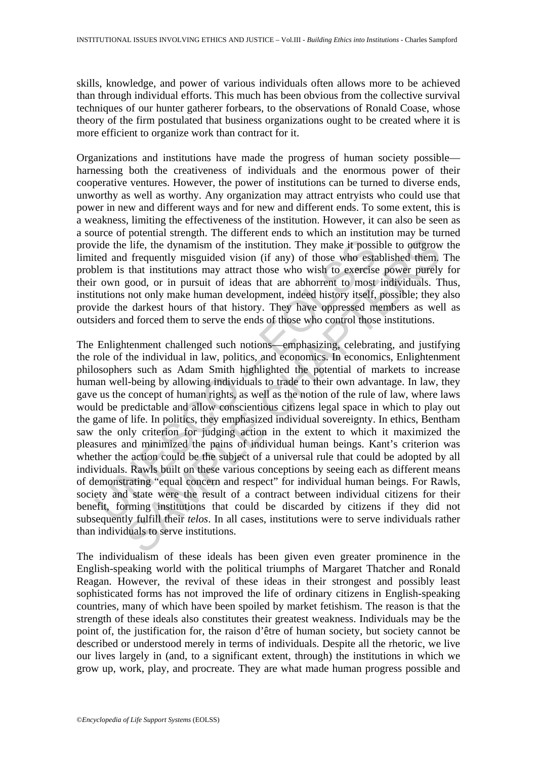skills, knowledge, and power of various individuals often allows more to be achieved than through individual efforts. This much has been obvious from the collective survival techniques of our hunter gatherer forbears, to the observations of Ronald Coase, whose theory of the firm postulated that business organizations ought to be created where it is more efficient to organize work than contract for it.

Organizations and institutions have made the progress of human society possible harnessing both the creativeness of individuals and the enormous power of their cooperative ventures. However, the power of institutions can be turned to diverse ends, unworthy as well as worthy. Any organization may attract entryists who could use that power in new and different ways and for new and different ends. To some extent, this is a weakness, limiting the effectiveness of the institution. However, it can also be seen as a source of potential strength. The different ends to which an institution may be turned provide the life, the dynamism of the institution. They make it possible to outgrow the limited and frequently misguided vision (if any) of those who established them. The problem is that institutions may attract those who wish to exercise power purely for their own good, or in pursuit of ideas that are abhorrent to most individuals. Thus, institutions not only make human development, indeed history itself, possible; they also provide the darkest hours of that history. They have oppressed members as well as outsiders and forced them to serve the ends of those who control those institutions.

ide the life, the dynamism of the institution. They make it possited and frequently misguided vision (if any) of those who establem is that institutions may attract those who wish to exercise r own good, or in pursuit of i Fig. the dynamism of the institution. They make it possible to outgrow<br>I frequently misguided vision (if any) of those who established them,<br>that institutions may attract those who wish to excrete power purely<br>good, or in The Enlightenment challenged such notions—emphasizing, celebrating, and justifying the role of the individual in law, politics, and economics. In economics, Enlightenment philosophers such as Adam Smith highlighted the potential of markets to increase human well-being by allowing individuals to trade to their own advantage. In law, they gave us the concept of human rights, as well as the notion of the rule of law, where laws would be predictable and allow conscientious citizens legal space in which to play out the game of life. In politics, they emphasized individual sovereignty. In ethics, Bentham saw the only criterion for judging action in the extent to which it maximized the pleasures and minimized the pains of individual human beings. Kant's criterion was whether the action could be the subject of a universal rule that could be adopted by all individuals. Rawls built on these various conceptions by seeing each as different means of demonstrating "equal concern and respect" for individual human beings. For Rawls, society and state were the result of a contract between individual citizens for their benefit, forming institutions that could be discarded by citizens if they did not subsequently fulfill their *telos*. In all cases, institutions were to serve individuals rather than individuals to serve institutions.

The individualism of these ideals has been given even greater prominence in the English-speaking world with the political triumphs of Margaret Thatcher and Ronald Reagan. However, the revival of these ideas in their strongest and possibly least sophisticated forms has not improved the life of ordinary citizens in English-speaking countries, many of which have been spoiled by market fetishism. The reason is that the strength of these ideals also constitutes their greatest weakness. Individuals may be the point of, the justification for, the raison d'être of human society, but society cannot be described or understood merely in terms of individuals. Despite all the rhetoric, we live our lives largely in (and, to a significant extent, through) the institutions in which we grow up, work, play, and procreate. They are what made human progress possible and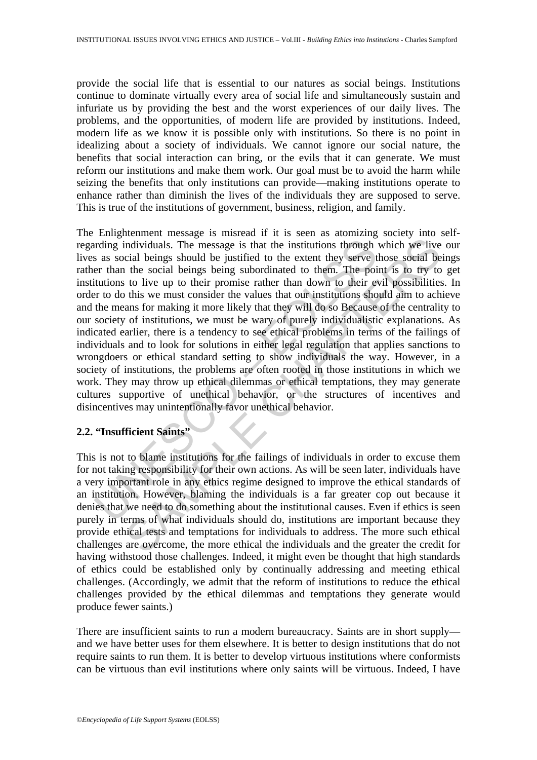provide the social life that is essential to our natures as social beings. Institutions continue to dominate virtually every area of social life and simultaneously sustain and infuriate us by providing the best and the worst experiences of our daily lives. The problems, and the opportunities, of modern life are provided by institutions. Indeed, modern life as we know it is possible only with institutions. So there is no point in idealizing about a society of individuals. We cannot ignore our social nature, the benefits that social interaction can bring, or the evils that it can generate. We must reform our institutions and make them work. Our goal must be to avoid the harm while seizing the benefits that only institutions can provide—making institutions operate to enhance rather than diminish the lives of the individuals they are supposed to serve. This is true of the institutions of government, business, religion, and family.

arding individuals. The message is that the institutions through<br>a sa social beings should be justified to the extent they serve ter than the social beings being subordinated to them. The poi<br>tutions to live up to their pr individuals. The message is that the institutions through which we live<br>icial beings should be justified to the extent they serve those social be<br>to the social beings being subordinated to them. The point is to try to<br>to l The Enlightenment message is misread if it is seen as atomizing society into selfregarding individuals. The message is that the institutions through which we live our lives as social beings should be justified to the extent they serve those social beings rather than the social beings being subordinated to them. The point is to try to get institutions to live up to their promise rather than down to their evil possibilities. In order to do this we must consider the values that our institutions should aim to achieve and the means for making it more likely that they will do so Because of the centrality to our society of institutions, we must be wary of purely individualistic explanations. As indicated earlier, there is a tendency to see ethical problems in terms of the failings of individuals and to look for solutions in either legal regulation that applies sanctions to wrongdoers or ethical standard setting to show individuals the way. However, in a society of institutions, the problems are often rooted in those institutions in which we work. They may throw up ethical dilemmas or ethical temptations, they may generate cultures supportive of unethical behavior, or the structures of incentives and disincentives may unintentionally favor unethical behavior.

### **2.2. "Insufficient Saints"**

This is not to blame institutions for the failings of individuals in order to excuse them for not taking responsibility for their own actions. As will be seen later, individuals have a very important role in any ethics regime designed to improve the ethical standards of an institution. However, blaming the individuals is a far greater cop out because it denies that we need to do something about the institutional causes. Even if ethics is seen purely in terms of what individuals should do, institutions are important because they provide ethical tests and temptations for individuals to address. The more such ethical challenges are overcome, the more ethical the individuals and the greater the credit for having withstood those challenges. Indeed, it might even be thought that high standards of ethics could be established only by continually addressing and meeting ethical challenges. (Accordingly, we admit that the reform of institutions to reduce the ethical challenges provided by the ethical dilemmas and temptations they generate would produce fewer saints.)

There are insufficient saints to run a modern bureaucracy. Saints are in short supply and we have better uses for them elsewhere. It is better to design institutions that do not require saints to run them. It is better to develop virtuous institutions where conformists can be virtuous than evil institutions where only saints will be virtuous. Indeed, I have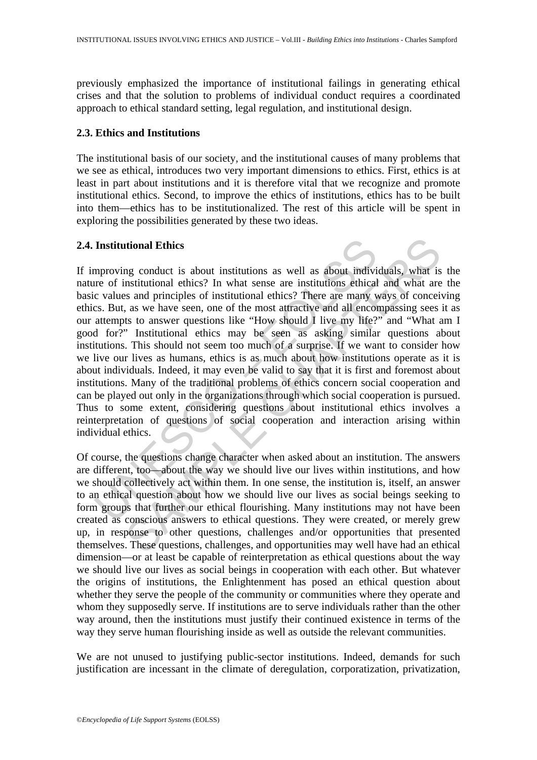previously emphasized the importance of institutional failings in generating ethical crises and that the solution to problems of individual conduct requires a coordinated approach to ethical standard setting, legal regulation, and institutional design.

### **2.3. Ethics and Institutions**

The institutional basis of our society, and the institutional causes of many problems that we see as ethical, introduces two very important dimensions to ethics. First, ethics is at least in part about institutions and it is therefore vital that we recognize and promote institutional ethics. Second, to improve the ethics of institutions, ethics has to be built into them—ethics has to be institutionalized. The rest of this article will be spent in exploring the possibilities generated by these two ideas.

### **2.4. Institutional Ethics**

Institutional Ethics<br>mproving conduct is about institutions as well as about indivi<br>re of institutional ethics? In what sense are institutions ethical<br>c values and principles of institutional ethics? There are many v<br>e. c. **and Ethics**<br>and conduct is about institutions as well as about individuals, what is<br>nstitutional ethics? In what sense are institutions ethical and what are<br>s and principles of institutional ethics? There are many ways of If improving conduct is about institutions as well as about individuals, what is the nature of institutional ethics? In what sense are institutions ethical and what are the basic values and principles of institutional ethics? There are many ways of conceiving ethics. But, as we have seen, one of the most attractive and all encompassing sees it as our attempts to answer questions like "How should I live my life?" and "What am I good for?" Institutional ethics may be seen as asking similar questions about institutions. This should not seem too much of a surprise. If we want to consider how we live our lives as humans, ethics is as much about how institutions operate as it is about individuals. Indeed, it may even be valid to say that it is first and foremost about institutions. Many of the traditional problems of ethics concern social cooperation and can be played out only in the organizations through which social cooperation is pursued. Thus to some extent, considering questions about institutional ethics involves a reinterpretation of questions of social cooperation and interaction arising within individual ethics.

Of course, the questions change character when asked about an institution. The answers are different, too—about the way we should live our lives within institutions, and how we should collectively act within them. In one sense, the institution is, itself, an answer to an ethical question about how we should live our lives as social beings seeking to form groups that further our ethical flourishing. Many institutions may not have been created as conscious answers to ethical questions. They were created, or merely grew up, in response to other questions, challenges and/or opportunities that presented themselves. These questions, challenges, and opportunities may well have had an ethical dimension—or at least be capable of reinterpretation as ethical questions about the way we should live our lives as social beings in cooperation with each other. But whatever the origins of institutions, the Enlightenment has posed an ethical question about whether they serve the people of the community or communities where they operate and whom they supposedly serve. If institutions are to serve individuals rather than the other way around, then the institutions must justify their continued existence in terms of the way they serve human flourishing inside as well as outside the relevant communities.

We are not unused to justifying public-sector institutions. Indeed, demands for such justification are incessant in the climate of deregulation, corporatization, privatization,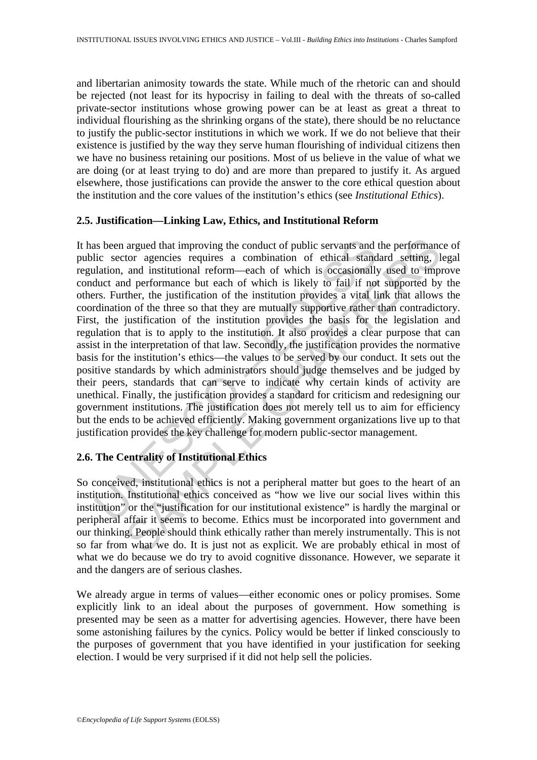and libertarian animosity towards the state. While much of the rhetoric can and should be rejected (not least for its hypocrisy in failing to deal with the threats of so-called private-sector institutions whose growing power can be at least as great a threat to individual flourishing as the shrinking organs of the state), there should be no reluctance to justify the public-sector institutions in which we work. If we do not believe that their existence is justified by the way they serve human flourishing of individual citizens then we have no business retaining our positions. Most of us believe in the value of what we are doing (or at least trying to do) and are more than prepared to justify it. As argued elsewhere, those justifications can provide the answer to the core ethical question about the institution and the core values of the institution's ethics (see *Institutional Ethics*).

### **2.5. Justification—Linking Law, Ethics, and Institutional Reform**

as been argued that improving the conduct of public servants and lic sector agencies requires a combination of ethical stand<br>alation, and institutional reform—each of which is occasionally<br>duct and performance but each of argued that improving the conduct of public servants and the performanctor agencies requires a combination of ethical standard setting, 1 and institutional reform-each of which is ocasiomally used to impurded performance b It has been argued that improving the conduct of public servants and the performance of public sector agencies requires a combination of ethical standard setting, legal regulation, and institutional reform—each of which is occasionally used to improve conduct and performance but each of which is likely to fail if not supported by the others. Further, the justification of the institution provides a vital link that allows the coordination of the three so that they are mutually supportive rather than contradictory. First, the justification of the institution provides the basis for the legislation and regulation that is to apply to the institution. It also provides a clear purpose that can assist in the interpretation of that law. Secondly, the justification provides the normative basis for the institution's ethics—the values to be served by our conduct. It sets out the positive standards by which administrators should judge themselves and be judged by their peers, standards that can serve to indicate why certain kinds of activity are unethical. Finally, the justification provides a standard for criticism and redesigning our government institutions. The justification does not merely tell us to aim for efficiency but the ends to be achieved efficiently. Making government organizations live up to that justification provides the key challenge for modern public-sector management.

# **2.6. The Centrality of Institutional Ethics**

So conceived, institutional ethics is not a peripheral matter but goes to the heart of an institution. Institutional ethics conceived as "how we live our social lives within this institution" or the "justification for our institutional existence" is hardly the marginal or peripheral affair it seems to become. Ethics must be incorporated into government and our thinking. People should think ethically rather than merely instrumentally. This is not so far from what we do. It is just not as explicit. We are probably ethical in most of what we do because we do try to avoid cognitive dissonance. However, we separate it and the dangers are of serious clashes.

We already argue in terms of values—either economic ones or policy promises. Some explicitly link to an ideal about the purposes of government. How something is presented may be seen as a matter for advertising agencies. However, there have been some astonishing failures by the cynics. Policy would be better if linked consciously to the purposes of government that you have identified in your justification for seeking election. I would be very surprised if it did not help sell the policies.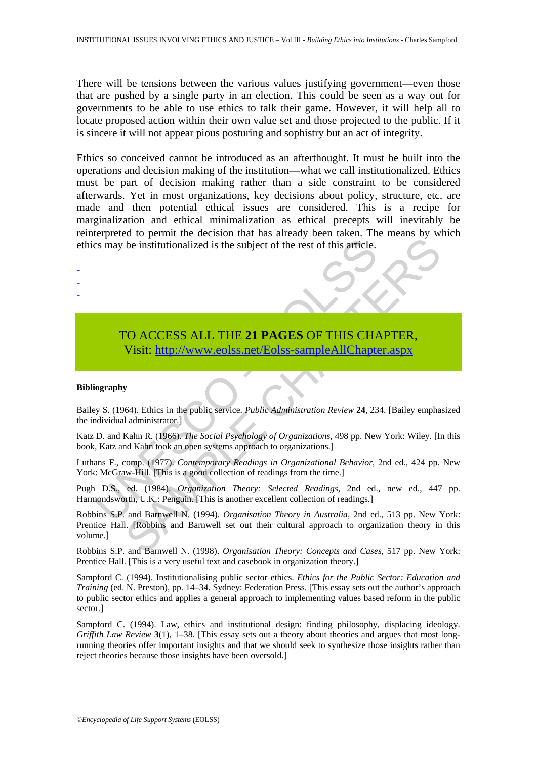There will be tensions between the various values justifying government—even those that are pushed by a single party in an election. This could be seen as a way out for governments to be able to use ethics to talk their game. However, it will help all to locate proposed action within their own value set and those projected to the public. If it is sincere it will not appear pious posturing and sophistry but an act of integrity.

Ethics so conceived cannot be introduced as an afterthought. It must be built into the operations and decision making of the institution—what we call institutionalized. Ethics must be part of decision making rather than a side constraint to be considered afterwards. Yet in most organizations, key decisions about policy, structure, etc. are made and then potential ethical issues are considered. This is a recipe for marginalization and ethical minimalization as ethical precepts will inevitably be reinterpreted to permit the decision that has already been taken. The means by which ethics may be institutionalized is the subject of the rest of this article.

# Example institutionalized is the subject of the rest of this article.<br>
TO ACCESS ALL THE 21 PAGES OF THIS CHA<br>
Visit: http://www.eolss.net/Eolss-sampleAllChapte<br>
ography<br>
iography<br>
bigy S. (1964). Ethics in the public serv TO ACCESS ALL THE **21 PAGES** OF THIS CHAPTER, Visit: http://www.eolss.net/Eolss-sampleAllChapter.aspx

### **Bibliography**

- - -

Bailey S. (1964). Ethics in the public service. *Public Administration Review* **24**, 234. [Bailey emphasized the individual administrator.]

Katz D. and Kahn R. (1966). *The Social Psychology of Organizations*, 498 pp. New York: Wiley. [In this book, Katz and Kahn took an open systems approach to organizations.]

Luthans F., comp. (1977). *Contemporary Readings in Organizational Behavior*, 2nd ed., 424 pp. New York: McGraw-Hill. [This is a good collection of readings from the time.]

Pugh D.S., ed. (1984). *Organization Theory: Selected Readings*, 2nd ed., new ed., 447 pp. Harmondsworth, U.K.: Penguin. [This is another excellent collection of readings.]

Let in the subject of the rest of this article.<br>
Se institutionalized is the subject of the rest of this article.<br>
Se institutionalized is the subject of the rest of this article.<br>
SAMPLE C[HAPT](https://www.eolss.net/ebooklib/sc_cart.aspx?File=E1-37-05-04)ER,<br>
Visit: http://www.eolss. Robbins S.P. and Barnwell N. (1994). *Organisation Theory in Australia*, 2nd ed., 513 pp. New York: Prentice Hall. [Robbins and Barnwell set out their cultural approach to organization theory in this volume.]

Robbins S.P. and Barnwell N. (1998). *Organisation Theory: Concepts and Cases*, 517 pp. New York: Prentice Hall. [This is a very useful text and casebook in organization theory.]

Sampford C. (1994). Institutionalising public sector ethics. *Ethics for the Public Sector: Education and Training* (ed. N. Preston), pp. 14–34. Sydney: Federation Press. [This essay sets out the author's approach to public sector ethics and applies a general approach to implementing values based reform in the public sector.]

Sampford C. (1994). Law, ethics and institutional design: finding philosophy, displacing ideology. *Griffith Law Review* 3(1), 1–38. [This essay sets out a theory about theories and argues that most longrunning theories offer important insights and that we should seek to synthesize those insights rather than reject theories because those insights have been oversold.]